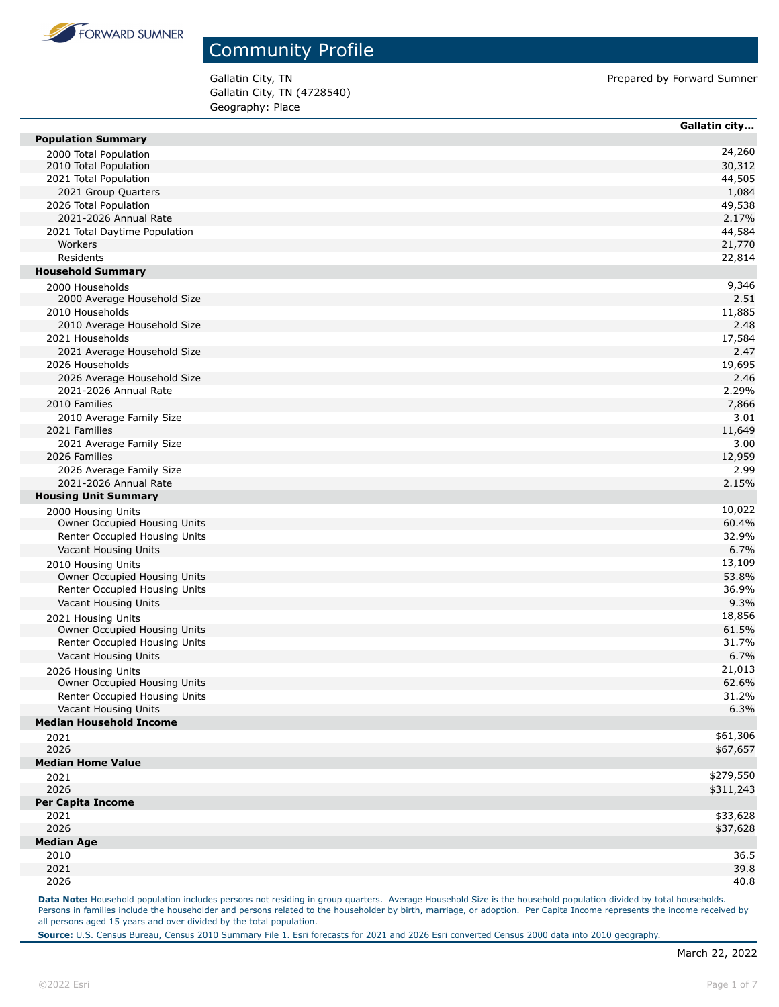

Gallatin City, TN (4728540) Geography: Place

Gallatin City, TN **Prepared by Forward Sumner** 

|                                                | Gallatin city    |
|------------------------------------------------|------------------|
| <b>Population Summary</b>                      |                  |
| 2000 Total Population                          | 24,260           |
| 2010 Total Population                          | 30,312           |
| 2021 Total Population                          | 44,505           |
| 2021 Group Quarters                            | 1,084            |
| 2026 Total Population                          | 49,538           |
| 2021-2026 Annual Rate                          | 2.17%            |
| 2021 Total Daytime Population<br>Workers       | 44,584           |
| Residents                                      | 21,770<br>22,814 |
| <b>Household Summary</b>                       |                  |
|                                                |                  |
| 2000 Households<br>2000 Average Household Size | 9,346<br>2.51    |
| 2010 Households                                | 11,885           |
| 2010 Average Household Size                    | 2.48             |
| 2021 Households                                | 17,584           |
| 2021 Average Household Size                    | 2.47             |
| 2026 Households                                | 19,695           |
| 2026 Average Household Size                    | 2.46             |
| 2021-2026 Annual Rate                          | 2.29%            |
| 2010 Families                                  | 7,866            |
| 2010 Average Family Size                       | 3.01             |
| 2021 Families                                  | 11,649           |
| 2021 Average Family Size                       | 3.00             |
| 2026 Families                                  | 12,959           |
| 2026 Average Family Size                       | 2.99             |
| 2021-2026 Annual Rate                          | 2.15%            |
| <b>Housing Unit Summary</b>                    |                  |
| 2000 Housing Units                             | 10,022           |
| Owner Occupied Housing Units                   | 60.4%            |
| Renter Occupied Housing Units                  | 32.9%            |
| Vacant Housing Units                           | 6.7%             |
| 2010 Housing Units                             | 13,109           |
| Owner Occupied Housing Units                   | 53.8%            |
| Renter Occupied Housing Units                  | 36.9%            |
| Vacant Housing Units                           | 9.3%             |
| 2021 Housing Units                             | 18,856           |
| Owner Occupied Housing Units                   | 61.5%            |
| Renter Occupied Housing Units                  | 31.7%            |
| Vacant Housing Units                           | 6.7%             |
| 2026 Housing Units                             | 21,013           |
| Owner Occupied Housing Units                   | 62.6%            |
| Renter Occupied Housing Units                  | 31.2%            |
| Vacant Housing Units                           | 6.3%             |
| <b>Median Household Income</b>                 |                  |
| 2021                                           | \$61,306         |
| 2026                                           | \$67,657         |
| <b>Median Home Value</b>                       |                  |
| 2021                                           | \$279,550        |
| 2026                                           | \$311,243        |
| <b>Per Capita Income</b>                       |                  |
| 2021<br>2026                                   | \$33,628         |
| <b>Median Age</b>                              | \$37,628         |
|                                                |                  |
| 2010<br>2021                                   | 36.5<br>39.8     |
| 2026                                           | 40.8             |
|                                                |                  |

Data Note: Household population includes persons not residing in group quarters. Average Household Size is the household population divided by total households. Persons in families include the householder and persons related to the householder by birth, marriage, or adoption. Per Capita Income represents the income received by all persons aged 15 years and over divided by the total population.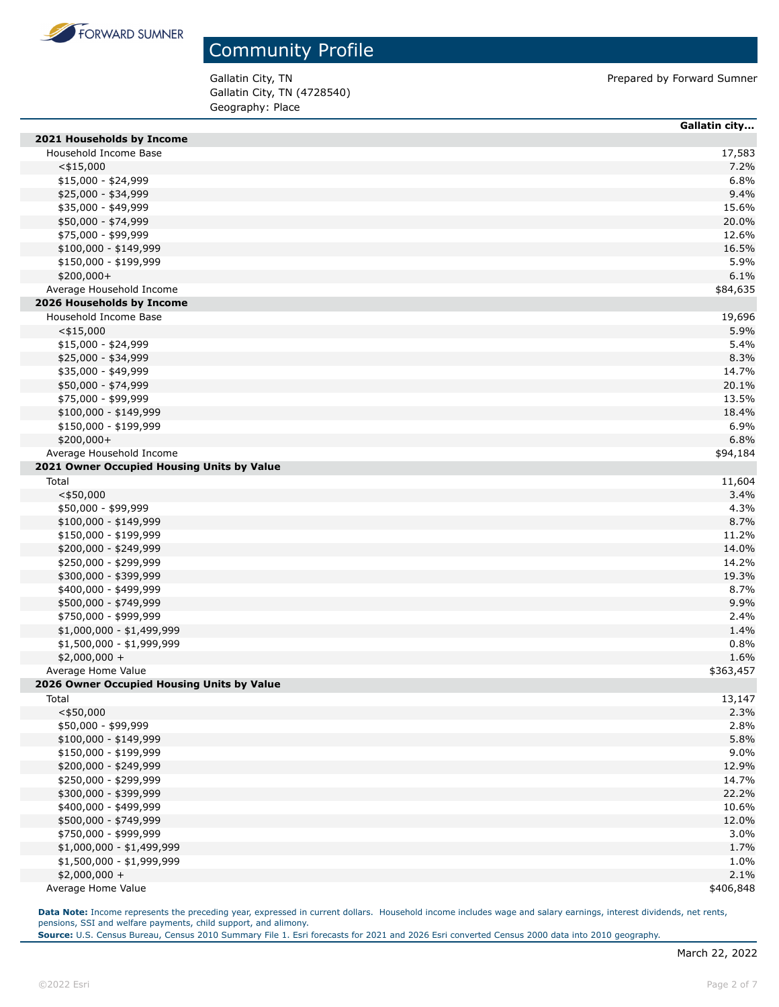

Gallatin City, TN (4728540) Geography: Place

Gallatin City, TN **Prepared by Forward Sumner** 

|                                            | Gallatin city |
|--------------------------------------------|---------------|
| 2021 Households by Income                  |               |
| Household Income Base                      | 17,583        |
| $<$ \$15,000                               | 7.2%          |
| \$15,000 - \$24,999                        | 6.8%          |
| \$25,000 - \$34,999                        | 9.4%          |
| \$35,000 - \$49,999                        | 15.6%         |
| \$50,000 - \$74,999                        | 20.0%         |
| \$75,000 - \$99,999                        | 12.6%         |
| \$100,000 - \$149,999                      | 16.5%         |
| \$150,000 - \$199,999                      | 5.9%          |
| $$200,000+$                                | 6.1%          |
| Average Household Income                   | \$84,635      |
| 2026 Households by Income                  |               |
| Household Income Base                      | 19,696        |
| $<$ \$15,000                               | 5.9%          |
| $$15,000 - $24,999$                        | 5.4%          |
| \$25,000 - \$34,999                        | 8.3%          |
| \$35,000 - \$49,999                        | 14.7%         |
| \$50,000 - \$74,999                        | 20.1%         |
| \$75,000 - \$99,999                        | 13.5%         |
| $$100,000 - $149,999$                      | 18.4%         |
| \$150,000 - \$199,999                      | 6.9%          |
| \$200,000+                                 | 6.8%          |
| Average Household Income                   | \$94,184      |
| 2021 Owner Occupied Housing Units by Value |               |
| Total                                      | 11,604        |
| $<$ \$50,000                               | 3.4%          |
| \$50,000 - \$99,999                        | 4.3%          |
| $$100,000 - $149,999$                      | 8.7%          |
| \$150,000 - \$199,999                      | 11.2%         |
| \$200,000 - \$249,999                      | 14.0%         |
| \$250,000 - \$299,999                      | 14.2%         |
| \$300,000 - \$399,999                      | 19.3%         |
| \$400,000 - \$499,999                      | 8.7%          |
| \$500,000 - \$749,999                      | 9.9%          |
| \$750,000 - \$999,999                      | 2.4%          |
| \$1,000,000 - \$1,499,999                  | 1.4%          |
| \$1,500,000 - \$1,999,999                  | 0.8%          |
| $$2,000,000 +$                             | 1.6%          |
| Average Home Value                         | \$363,457     |
| 2026 Owner Occupied Housing Units by Value |               |
| Total                                      | 13,147        |
| $<$ \$50,000                               | 2.3%          |
| \$50,000 - \$99,999                        | 2.8%          |
| $$100,000 - $149,999$                      | 5.8%          |
| \$150,000 - \$199,999                      | 9.0%          |
| \$200,000 - \$249,999                      | 12.9%         |
| \$250,000 - \$299,999                      | 14.7%         |
| \$300,000 - \$399,999                      | 22.2%         |
| \$400,000 - \$499,999                      | 10.6%         |
| \$500,000 - \$749,999                      | 12.0%         |
| \$750,000 - \$999,999                      | 3.0%          |
| $$1,000,000 - $1,499,999$                  | 1.7%          |
| \$1,500,000 - \$1,999,999                  | 1.0%          |
| $$2,000,000 +$                             | 2.1%          |
| Average Home Value                         | \$406,848     |

Data Note: Income represents the preceding year, expressed in current dollars. Household income includes wage and salary earnings, interest dividends, net rents, pensions, SSI and welfare payments, child support, and alimony.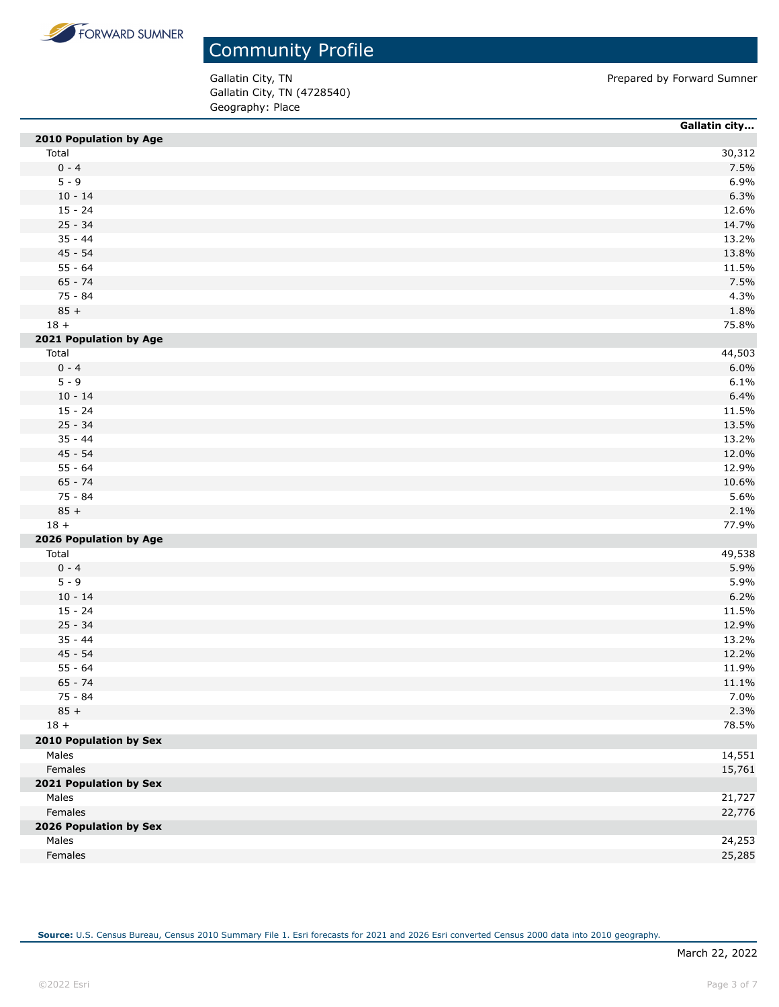

Gallatin City, TN 600 CH Contract to the Contract of Prepared by Forward Sumner Gallatin City, TN (4728540) Geography: Place

|                               | Gallatin city |
|-------------------------------|---------------|
| 2010 Population by Age        |               |
| Total                         | 30,312        |
| $0 - 4$                       | 7.5%          |
| $5 - 9$                       | 6.9%          |
| $10 - 14$                     | 6.3%          |
| $15 - 24$                     | 12.6%         |
| $25 - 34$                     | 14.7%         |
| $35 - 44$                     | 13.2%         |
| $45 - 54$                     | 13.8%         |
| $55 - 64$                     | 11.5%         |
| $65 - 74$                     | 7.5%          |
| $75 - 84$                     | 4.3%          |
| $85 +$                        | 1.8%          |
| $18 +$                        | 75.8%         |
| 2021 Population by Age        |               |
| Total                         | 44,503        |
| $0 - 4$                       | 6.0%          |
| $5 - 9$                       | 6.1%          |
| $10 - 14$                     | 6.4%          |
| $15 - 24$                     | 11.5%         |
| $25 - 34$                     | 13.5%         |
| $35 - 44$                     | 13.2%         |
| $45 - 54$                     | 12.0%         |
| $55 - 64$                     | 12.9%         |
| $65 - 74$                     | 10.6%         |
| 75 - 84                       | 5.6%          |
| $85 +$                        | 2.1%          |
| $18 +$                        | 77.9%         |
| 2026 Population by Age        |               |
| Total                         | 49,538        |
| $0 - 4$                       | 5.9%          |
| $5 - 9$                       | 5.9%          |
| $10 - 14$                     | 6.2%          |
| $15 - 24$                     | 11.5%         |
| $25 - 34$                     | 12.9%         |
| $35 - 44$                     | 13.2%         |
| $45 - 54$                     | 12.2%         |
| $55 - 64$                     | 11.9%         |
| $65 - 74$                     | 11.1%         |
| 75 - 84                       | 7.0%          |
| $85 +$                        | 2.3%          |
| $18 +$                        | 78.5%         |
| <b>2010 Population by Sex</b> |               |
| Males                         | 14,551        |
| Females                       | 15,761        |
| 2021 Population by Sex        |               |
| Males                         | 21,727        |
| Females                       | 22,776        |
| 2026 Population by Sex        |               |
| Males                         | 24,253        |
| Females                       | 25,285        |
|                               |               |

**Source:** U.S. Census Bureau, Census 2010 Summary File 1. Esri forecasts for 2021 and 2026 Esri converted Census 2000 data into 2010 geography.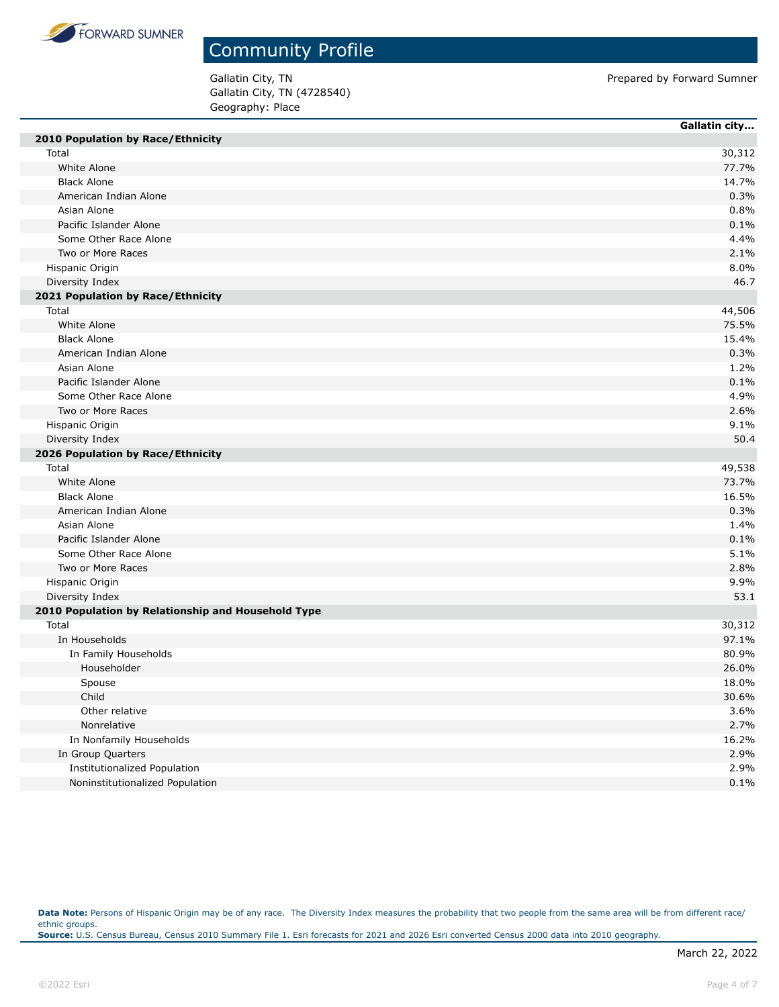

Gallatin City, TN (4728540) Geography: Place

Gallatin City, TN **Prepared by Forward Sumner** 

| 2010 Population by Race/Ethnicity<br>Total<br>30,312<br>White Alone<br>77.7%<br><b>Black Alone</b><br>14.7%<br>American Indian Alone<br>0.3%<br>Asian Alone<br>0.8%<br>Pacific Islander Alone<br>0.1%<br>Some Other Race Alone<br>4.4%<br>Two or More Races<br>2.1%<br>8.0%<br>Hispanic Origin<br>Diversity Index<br>46.7<br>2021 Population by Race/Ethnicity<br>Total<br>44,506<br>White Alone<br>75.5%<br><b>Black Alone</b><br>15.4%<br>American Indian Alone<br>0.3%<br>Asian Alone<br>1.2%<br>0.1%<br>Pacific Islander Alone<br>Some Other Race Alone<br>4.9%<br>Two or More Races<br>2.6%<br>Hispanic Origin<br>9.1%<br>50.4<br>Diversity Index<br>2026 Population by Race/Ethnicity<br>Total<br>49,538<br>White Alone<br>73.7%<br><b>Black Alone</b><br>16.5%<br>American Indian Alone<br>0.3%<br>Asian Alone<br>1.4%<br>Pacific Islander Alone<br>0.1%<br>Some Other Race Alone<br>5.1%<br>Two or More Races<br>2.8%<br>9.9%<br>Hispanic Origin<br>Diversity Index<br>53.1<br>2010 Population by Relationship and Household Type<br>Total<br>30,312<br>In Households<br>97.1%<br>80.9%<br>In Family Households<br>Householder<br>26.0%<br>18.0%<br>Spouse<br>Child<br>30.6%<br>Other relative<br>3.6%<br>2.7%<br>Nonrelative<br>In Nonfamily Households<br>16.2%<br>2.9%<br>In Group Quarters<br>2.9%<br>Institutionalized Population |                                 | Gallatin city |
|------------------------------------------------------------------------------------------------------------------------------------------------------------------------------------------------------------------------------------------------------------------------------------------------------------------------------------------------------------------------------------------------------------------------------------------------------------------------------------------------------------------------------------------------------------------------------------------------------------------------------------------------------------------------------------------------------------------------------------------------------------------------------------------------------------------------------------------------------------------------------------------------------------------------------------------------------------------------------------------------------------------------------------------------------------------------------------------------------------------------------------------------------------------------------------------------------------------------------------------------------------------------------------------------------------------------------------------------|---------------------------------|---------------|
|                                                                                                                                                                                                                                                                                                                                                                                                                                                                                                                                                                                                                                                                                                                                                                                                                                                                                                                                                                                                                                                                                                                                                                                                                                                                                                                                                |                                 |               |
|                                                                                                                                                                                                                                                                                                                                                                                                                                                                                                                                                                                                                                                                                                                                                                                                                                                                                                                                                                                                                                                                                                                                                                                                                                                                                                                                                |                                 |               |
|                                                                                                                                                                                                                                                                                                                                                                                                                                                                                                                                                                                                                                                                                                                                                                                                                                                                                                                                                                                                                                                                                                                                                                                                                                                                                                                                                |                                 |               |
|                                                                                                                                                                                                                                                                                                                                                                                                                                                                                                                                                                                                                                                                                                                                                                                                                                                                                                                                                                                                                                                                                                                                                                                                                                                                                                                                                |                                 |               |
|                                                                                                                                                                                                                                                                                                                                                                                                                                                                                                                                                                                                                                                                                                                                                                                                                                                                                                                                                                                                                                                                                                                                                                                                                                                                                                                                                |                                 |               |
|                                                                                                                                                                                                                                                                                                                                                                                                                                                                                                                                                                                                                                                                                                                                                                                                                                                                                                                                                                                                                                                                                                                                                                                                                                                                                                                                                |                                 |               |
|                                                                                                                                                                                                                                                                                                                                                                                                                                                                                                                                                                                                                                                                                                                                                                                                                                                                                                                                                                                                                                                                                                                                                                                                                                                                                                                                                |                                 |               |
|                                                                                                                                                                                                                                                                                                                                                                                                                                                                                                                                                                                                                                                                                                                                                                                                                                                                                                                                                                                                                                                                                                                                                                                                                                                                                                                                                |                                 |               |
|                                                                                                                                                                                                                                                                                                                                                                                                                                                                                                                                                                                                                                                                                                                                                                                                                                                                                                                                                                                                                                                                                                                                                                                                                                                                                                                                                |                                 |               |
|                                                                                                                                                                                                                                                                                                                                                                                                                                                                                                                                                                                                                                                                                                                                                                                                                                                                                                                                                                                                                                                                                                                                                                                                                                                                                                                                                |                                 |               |
|                                                                                                                                                                                                                                                                                                                                                                                                                                                                                                                                                                                                                                                                                                                                                                                                                                                                                                                                                                                                                                                                                                                                                                                                                                                                                                                                                |                                 |               |
|                                                                                                                                                                                                                                                                                                                                                                                                                                                                                                                                                                                                                                                                                                                                                                                                                                                                                                                                                                                                                                                                                                                                                                                                                                                                                                                                                |                                 |               |
|                                                                                                                                                                                                                                                                                                                                                                                                                                                                                                                                                                                                                                                                                                                                                                                                                                                                                                                                                                                                                                                                                                                                                                                                                                                                                                                                                |                                 |               |
|                                                                                                                                                                                                                                                                                                                                                                                                                                                                                                                                                                                                                                                                                                                                                                                                                                                                                                                                                                                                                                                                                                                                                                                                                                                                                                                                                |                                 |               |
|                                                                                                                                                                                                                                                                                                                                                                                                                                                                                                                                                                                                                                                                                                                                                                                                                                                                                                                                                                                                                                                                                                                                                                                                                                                                                                                                                |                                 |               |
|                                                                                                                                                                                                                                                                                                                                                                                                                                                                                                                                                                                                                                                                                                                                                                                                                                                                                                                                                                                                                                                                                                                                                                                                                                                                                                                                                |                                 |               |
|                                                                                                                                                                                                                                                                                                                                                                                                                                                                                                                                                                                                                                                                                                                                                                                                                                                                                                                                                                                                                                                                                                                                                                                                                                                                                                                                                |                                 |               |
|                                                                                                                                                                                                                                                                                                                                                                                                                                                                                                                                                                                                                                                                                                                                                                                                                                                                                                                                                                                                                                                                                                                                                                                                                                                                                                                                                |                                 |               |
|                                                                                                                                                                                                                                                                                                                                                                                                                                                                                                                                                                                                                                                                                                                                                                                                                                                                                                                                                                                                                                                                                                                                                                                                                                                                                                                                                |                                 |               |
|                                                                                                                                                                                                                                                                                                                                                                                                                                                                                                                                                                                                                                                                                                                                                                                                                                                                                                                                                                                                                                                                                                                                                                                                                                                                                                                                                |                                 |               |
|                                                                                                                                                                                                                                                                                                                                                                                                                                                                                                                                                                                                                                                                                                                                                                                                                                                                                                                                                                                                                                                                                                                                                                                                                                                                                                                                                |                                 |               |
|                                                                                                                                                                                                                                                                                                                                                                                                                                                                                                                                                                                                                                                                                                                                                                                                                                                                                                                                                                                                                                                                                                                                                                                                                                                                                                                                                |                                 |               |
|                                                                                                                                                                                                                                                                                                                                                                                                                                                                                                                                                                                                                                                                                                                                                                                                                                                                                                                                                                                                                                                                                                                                                                                                                                                                                                                                                |                                 |               |
|                                                                                                                                                                                                                                                                                                                                                                                                                                                                                                                                                                                                                                                                                                                                                                                                                                                                                                                                                                                                                                                                                                                                                                                                                                                                                                                                                |                                 |               |
|                                                                                                                                                                                                                                                                                                                                                                                                                                                                                                                                                                                                                                                                                                                                                                                                                                                                                                                                                                                                                                                                                                                                                                                                                                                                                                                                                |                                 |               |
|                                                                                                                                                                                                                                                                                                                                                                                                                                                                                                                                                                                                                                                                                                                                                                                                                                                                                                                                                                                                                                                                                                                                                                                                                                                                                                                                                |                                 |               |
|                                                                                                                                                                                                                                                                                                                                                                                                                                                                                                                                                                                                                                                                                                                                                                                                                                                                                                                                                                                                                                                                                                                                                                                                                                                                                                                                                |                                 |               |
|                                                                                                                                                                                                                                                                                                                                                                                                                                                                                                                                                                                                                                                                                                                                                                                                                                                                                                                                                                                                                                                                                                                                                                                                                                                                                                                                                |                                 |               |
|                                                                                                                                                                                                                                                                                                                                                                                                                                                                                                                                                                                                                                                                                                                                                                                                                                                                                                                                                                                                                                                                                                                                                                                                                                                                                                                                                |                                 |               |
|                                                                                                                                                                                                                                                                                                                                                                                                                                                                                                                                                                                                                                                                                                                                                                                                                                                                                                                                                                                                                                                                                                                                                                                                                                                                                                                                                |                                 |               |
|                                                                                                                                                                                                                                                                                                                                                                                                                                                                                                                                                                                                                                                                                                                                                                                                                                                                                                                                                                                                                                                                                                                                                                                                                                                                                                                                                |                                 |               |
|                                                                                                                                                                                                                                                                                                                                                                                                                                                                                                                                                                                                                                                                                                                                                                                                                                                                                                                                                                                                                                                                                                                                                                                                                                                                                                                                                |                                 |               |
|                                                                                                                                                                                                                                                                                                                                                                                                                                                                                                                                                                                                                                                                                                                                                                                                                                                                                                                                                                                                                                                                                                                                                                                                                                                                                                                                                |                                 |               |
|                                                                                                                                                                                                                                                                                                                                                                                                                                                                                                                                                                                                                                                                                                                                                                                                                                                                                                                                                                                                                                                                                                                                                                                                                                                                                                                                                |                                 |               |
|                                                                                                                                                                                                                                                                                                                                                                                                                                                                                                                                                                                                                                                                                                                                                                                                                                                                                                                                                                                                                                                                                                                                                                                                                                                                                                                                                |                                 |               |
|                                                                                                                                                                                                                                                                                                                                                                                                                                                                                                                                                                                                                                                                                                                                                                                                                                                                                                                                                                                                                                                                                                                                                                                                                                                                                                                                                |                                 |               |
|                                                                                                                                                                                                                                                                                                                                                                                                                                                                                                                                                                                                                                                                                                                                                                                                                                                                                                                                                                                                                                                                                                                                                                                                                                                                                                                                                |                                 |               |
|                                                                                                                                                                                                                                                                                                                                                                                                                                                                                                                                                                                                                                                                                                                                                                                                                                                                                                                                                                                                                                                                                                                                                                                                                                                                                                                                                |                                 |               |
|                                                                                                                                                                                                                                                                                                                                                                                                                                                                                                                                                                                                                                                                                                                                                                                                                                                                                                                                                                                                                                                                                                                                                                                                                                                                                                                                                |                                 |               |
|                                                                                                                                                                                                                                                                                                                                                                                                                                                                                                                                                                                                                                                                                                                                                                                                                                                                                                                                                                                                                                                                                                                                                                                                                                                                                                                                                |                                 |               |
|                                                                                                                                                                                                                                                                                                                                                                                                                                                                                                                                                                                                                                                                                                                                                                                                                                                                                                                                                                                                                                                                                                                                                                                                                                                                                                                                                |                                 |               |
|                                                                                                                                                                                                                                                                                                                                                                                                                                                                                                                                                                                                                                                                                                                                                                                                                                                                                                                                                                                                                                                                                                                                                                                                                                                                                                                                                |                                 |               |
|                                                                                                                                                                                                                                                                                                                                                                                                                                                                                                                                                                                                                                                                                                                                                                                                                                                                                                                                                                                                                                                                                                                                                                                                                                                                                                                                                |                                 |               |
|                                                                                                                                                                                                                                                                                                                                                                                                                                                                                                                                                                                                                                                                                                                                                                                                                                                                                                                                                                                                                                                                                                                                                                                                                                                                                                                                                |                                 |               |
|                                                                                                                                                                                                                                                                                                                                                                                                                                                                                                                                                                                                                                                                                                                                                                                                                                                                                                                                                                                                                                                                                                                                                                                                                                                                                                                                                |                                 |               |
|                                                                                                                                                                                                                                                                                                                                                                                                                                                                                                                                                                                                                                                                                                                                                                                                                                                                                                                                                                                                                                                                                                                                                                                                                                                                                                                                                | Noninstitutionalized Population | 0.1%          |

Data Note: Persons of Hispanic Origin may be of any race. The Diversity Index measures the probability that two people from the same area will be from different race/ ethnic groups. **Source:** U.S. Census Bureau, Census 2010 Summary File 1. Esri forecasts for 2021 and 2026 Esri converted Census 2000 data into 2010 geography.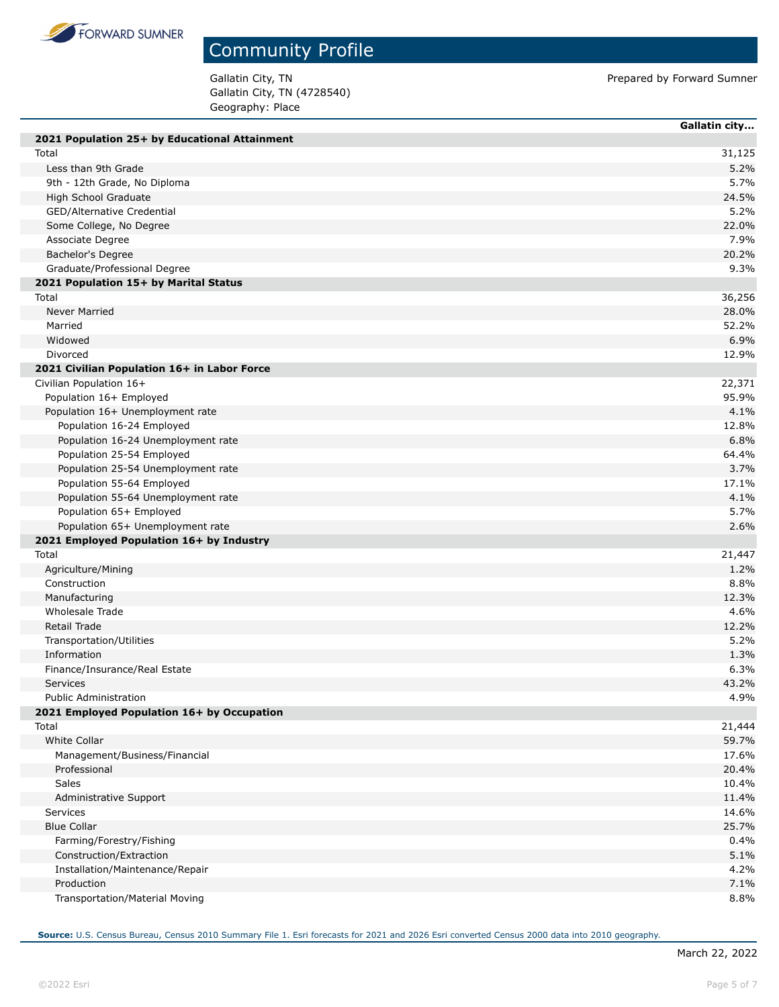

Gallatin City, TN (4728540) Geography: Place

Gallatin City, TN 600 CH Contract to the Contract of Prepared by Forward Sumner

|                                               | Gallatin city |
|-----------------------------------------------|---------------|
| 2021 Population 25+ by Educational Attainment |               |
| Total                                         | 31,125        |
| Less than 9th Grade                           | 5.2%          |
| 9th - 12th Grade, No Diploma                  | 5.7%          |
| High School Graduate                          | 24.5%         |
| GED/Alternative Credential                    | 5.2%          |
| Some College, No Degree                       | 22.0%         |
| Associate Degree                              | 7.9%          |
| Bachelor's Degree                             | 20.2%         |
| Graduate/Professional Degree                  | 9.3%          |
| 2021 Population 15+ by Marital Status         |               |
| Total                                         | 36,256        |
| Never Married                                 | 28.0%         |
| Married                                       | 52.2%         |
| Widowed                                       | 6.9%          |
| Divorced                                      | 12.9%         |
| 2021 Civilian Population 16+ in Labor Force   |               |
| Civilian Population 16+                       | 22,371        |
| Population 16+ Employed                       | 95.9%         |
| Population 16+ Unemployment rate              | 4.1%          |
| Population 16-24 Employed                     | 12.8%         |
| Population 16-24 Unemployment rate            | 6.8%          |
| Population 25-54 Employed                     | 64.4%         |
| Population 25-54 Unemployment rate            | 3.7%          |
| Population 55-64 Employed                     | 17.1%         |
| Population 55-64 Unemployment rate            | 4.1%          |
| Population 65+ Employed                       | 5.7%          |
| Population 65+ Unemployment rate              | 2.6%          |
| 2021 Employed Population 16+ by Industry      |               |
| Total                                         | 21,447        |
| Agriculture/Mining                            | 1.2%          |
| Construction                                  | 8.8%          |
| Manufacturing                                 | 12.3%         |
| Wholesale Trade                               | 4.6%          |
| Retail Trade                                  | 12.2%         |
| Transportation/Utilities                      | 5.2%          |
| Information                                   | 1.3%          |
| Finance/Insurance/Real Estate                 | 6.3%          |
| <b>Services</b>                               | 43.2%         |
| <b>Public Administration</b>                  | 4.9%          |
| 2021 Employed Population 16+ by Occupation    |               |
| Total                                         | 21,444        |
| <b>White Collar</b>                           | 59.7%         |
| Management/Business/Financial                 | 17.6%         |
| Professional                                  | 20.4%         |
| Sales                                         | 10.4%         |
| Administrative Support                        | 11.4%         |
| Services                                      | 14.6%         |
| <b>Blue Collar</b>                            | 25.7%         |
| Farming/Forestry/Fishing                      | 0.4%          |
| Construction/Extraction                       | 5.1%          |
| Installation/Maintenance/Repair               | 4.2%          |
| Production                                    | 7.1%          |
| Transportation/Material Moving                | 8.8%          |
|                                               |               |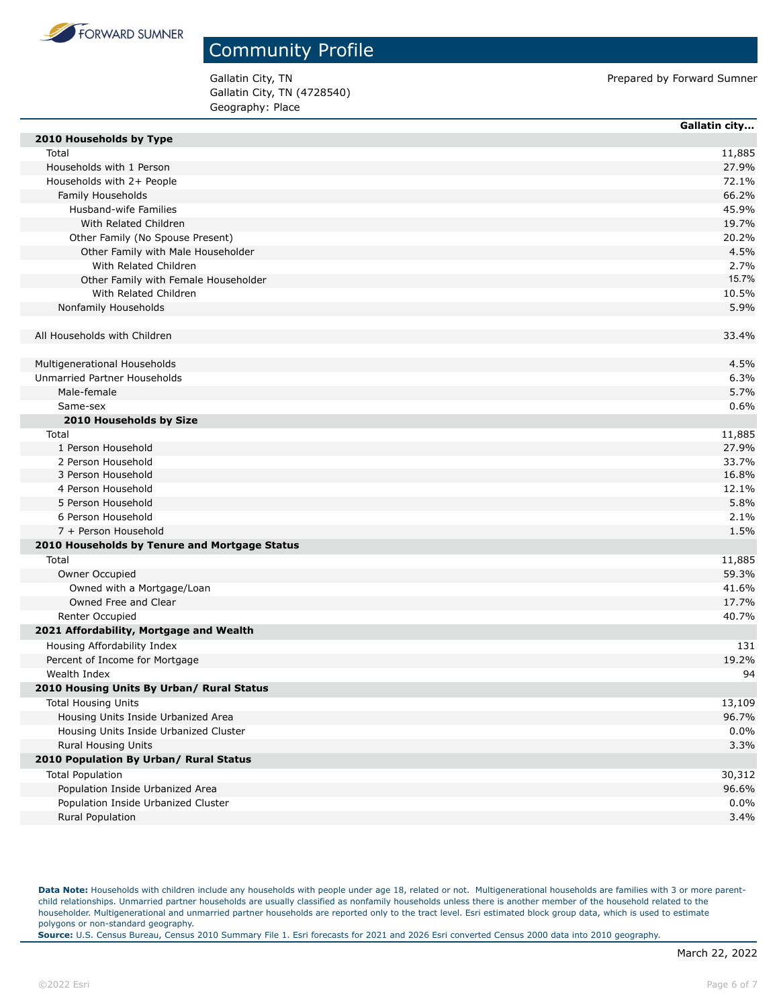

Gallatin City, TN (4728540) Geography: Place

Gallatin City, TN **Prepared by Forward Sumner** 

|                                               | Gallatin city |
|-----------------------------------------------|---------------|
| 2010 Households by Type                       |               |
| Total                                         | 11,885        |
| Households with 1 Person                      | 27.9%         |
| Households with 2+ People                     | 72.1%         |
| Family Households                             | 66.2%         |
| Husband-wife Families                         | 45.9%         |
| With Related Children                         | 19.7%         |
| Other Family (No Spouse Present)              | 20.2%         |
| Other Family with Male Householder            | 4.5%          |
| With Related Children                         | 2.7%          |
| Other Family with Female Householder          | 15.7%         |
| With Related Children                         | 10.5%         |
| Nonfamily Households                          | 5.9%          |
| All Households with Children                  | 33.4%         |
|                                               |               |
| Multigenerational Households                  | 4.5%          |
| Unmarried Partner Households                  | 6.3%          |
| Male-female                                   | 5.7%          |
| Same-sex                                      | 0.6%          |
| 2010 Households by Size                       |               |
| Total                                         | 11,885        |
| 1 Person Household                            | 27.9%         |
| 2 Person Household                            | 33.7%         |
| 3 Person Household                            | 16.8%         |
| 4 Person Household                            | 12.1%         |
| 5 Person Household                            | 5.8%          |
| 6 Person Household                            | 2.1%          |
| 7 + Person Household                          | 1.5%          |
| 2010 Households by Tenure and Mortgage Status |               |
| Total                                         | 11,885        |
| Owner Occupied                                | 59.3%         |
| Owned with a Mortgage/Loan                    | 41.6%         |
| Owned Free and Clear                          | 17.7%         |
| Renter Occupied                               | 40.7%         |
| 2021 Affordability, Mortgage and Wealth       |               |
| Housing Affordability Index                   | 131           |
| Percent of Income for Mortgage                | 19.2%         |
| Wealth Index                                  | 94            |
| 2010 Housing Units By Urban/ Rural Status     |               |
| <b>Total Housing Units</b>                    | 13,109        |
| Housing Units Inside Urbanized Area           | 96.7%         |
| Housing Units Inside Urbanized Cluster        | 0.0%          |
| Rural Housing Units                           | 3.3%          |
| 2010 Population By Urban/ Rural Status        |               |
| <b>Total Population</b>                       | 30,312        |
| Population Inside Urbanized Area              | 96.6%         |
| Population Inside Urbanized Cluster           | 0.0%          |
| Rural Population                              | 3.4%          |

Data Note: Households with children include any households with people under age 18, related or not. Multigenerational households are families with 3 or more parentchild relationships. Unmarried partner households are usually classified as nonfamily households unless there is another member of the household related to the householder. Multigenerational and unmarried partner households are reported only to the tract level. Esri estimated block group data, which is used to estimate polygons or non-standard geography.